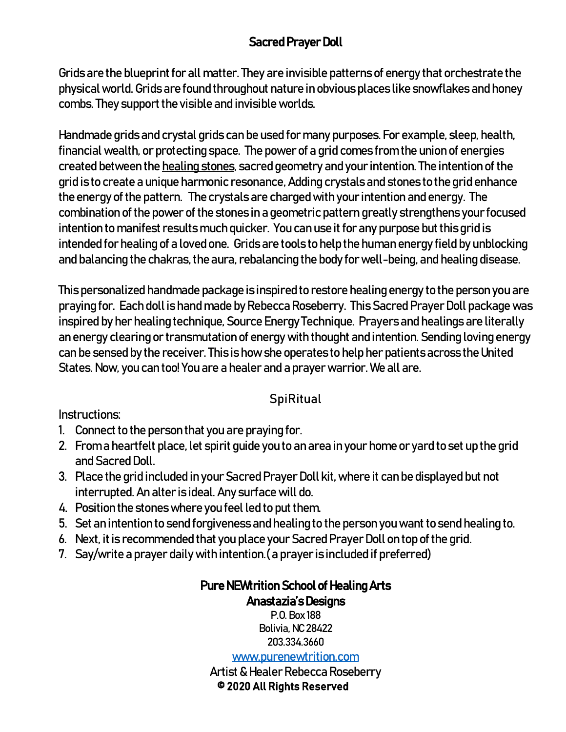## Sacred Prayer Doll

Grids are the blueprint for all matter. They are invisible patterns of energy that orchestrate the physical world. Grids are found throughout nature in obvious places like snowflakes and honey combs. They support the visible and invisible worlds.

Handmade grids and crystal grids can be used for many purposes. For example, sleep, health, financial wealth, or protecting space. The power of a grid comes from the union of energies created between the [healing stones,](https://www.energymuse.com/tumbled-stones) sacred geometry and your intention. The intention of the grid is to create a unique harmonic resonance, Adding crystals and stones to the grid enhance the energy of the pattern. The crystals are charged with your intention and energy. The combination of the power of the stones in a geometric pattern greatly strengthens your focused intention to manifest results much quicker. You can use it for any purpose but this grid is intended for healing of a loved one. Grids are tools to help the human energy field by unblocking and balancing the chakras, the aura, rebalancing the body for well-being, and healing disease.

This personalized handmade package is inspired to restore healing energy to the person you are praying for. Each doll is hand made by Rebecca Roseberry. This Sacred Prayer Doll package was inspired by her healing technique, Source Energy Technique. Prayers and healings are literally an energy clearing or transmutation of energy with thought and intention. Sending loving energy can be sensed by the receiver. This is how she operates to help her patients across the United States. Now, you can too! You are a healer and a prayer warrior. We all are.

## **SpiRitual**

Instructions:

- 1. Connect to the person that you are praying for.
- 2. From a heartfelt place, let spirit guide you to an area in your home or yard to set up the grid and Sacred Doll.
- 3. Place the grid included in your Sacred Prayer Doll kit, where it can be displayed but not interrupted. An alter is ideal. Any surface will do.
- 4. Position the stones where you feel led to put them.
- 5. Set an intention to send forgiveness and healing to the person you want to send healing to.
- 6. Next, it is recommended that you place your Sacred Prayer Doll on top of the grid.
- 7. Say/write a prayer daily with intention.( a prayer is included if preferred)

## Pure NEWtrition School of Healing Arts Anastazia's Designs

P.O. Box 188 Bolivia, NC 28422 203.334.3660

[www.purenewtrition.com](http://www.purenewtrition.com/)

Artist & Healer Rebecca Roseberry © 2020 All Rights Reserved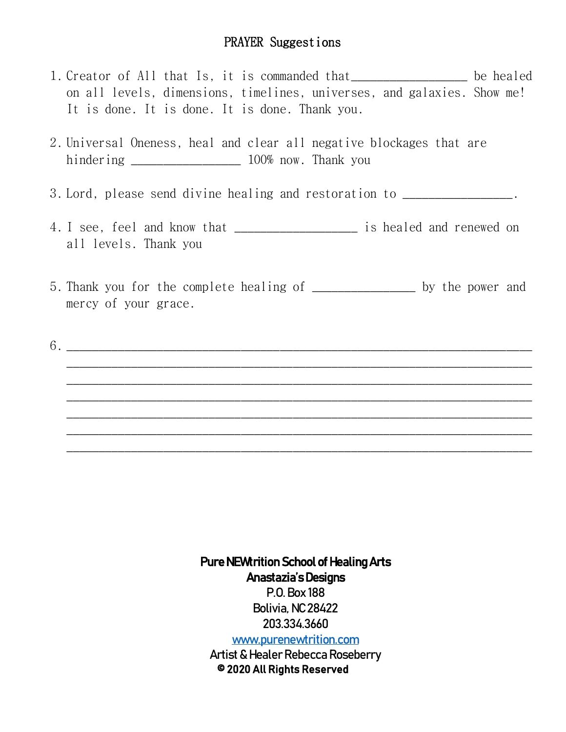## PRAYER Suggestions

- 1. Creator of All that Is, it is commanded that\_\_\_\_\_\_\_\_\_\_\_\_\_\_\_\_\_\_ be healed on all levels, dimensions, timelines, universes, and galaxies. Show me! It is done. It is done. It is done. Thank you.
- 2. Universal Oneness, heal and clear all negative blockages that are hindering \_\_\_\_\_\_\_\_\_\_\_\_\_\_\_\_\_ 100% now. Thank you
- 3. Lord, please send divine healing and restoration to \_\_\_\_\_\_\_\_\_\_\_\_\_\_\_\_\_.
- 4. I see, feel and know that \_\_\_\_\_\_\_\_\_\_\_\_\_\_\_\_\_\_\_ is healed and renewed on all levels. Thank you
- 5. Thank you for the complete healing of \_\_\_\_\_\_\_\_\_\_\_\_\_\_\_\_ by the power and mercy of your grace.
- 6. \_\_\_\_\_\_\_\_\_\_\_\_\_\_\_\_\_\_\_\_\_\_\_\_\_\_\_\_\_\_\_\_\_\_\_\_\_\_\_\_\_\_\_\_\_\_\_\_\_\_\_\_\_\_\_\_\_\_\_\_\_\_\_\_\_\_\_\_\_\_\_\_ \_\_\_\_\_\_\_\_\_\_\_\_\_\_\_\_\_\_\_\_\_\_\_\_\_\_\_\_\_\_\_\_\_\_\_\_\_\_\_\_\_\_\_\_\_\_\_\_\_\_\_\_\_\_\_\_\_\_\_\_\_\_\_\_\_\_\_\_\_\_\_\_ \_\_\_\_\_\_\_\_\_\_\_\_\_\_\_\_\_\_\_\_\_\_\_\_\_\_\_\_\_\_\_\_\_\_\_\_\_\_\_\_\_\_\_\_\_\_\_\_\_\_\_\_\_\_\_\_\_\_\_\_\_\_\_\_\_\_\_\_\_\_\_\_ \_\_\_\_\_\_\_\_\_\_\_\_\_\_\_\_\_\_\_\_\_\_\_\_\_\_\_\_\_\_\_\_\_\_\_\_\_\_\_\_\_\_\_\_\_\_\_\_\_\_\_\_\_\_\_\_\_\_\_\_\_\_\_\_\_\_\_\_\_\_\_\_ \_\_\_\_\_\_\_\_\_\_\_\_\_\_\_\_\_\_\_\_\_\_\_\_\_\_\_\_\_\_\_\_\_\_\_\_\_\_\_\_\_\_\_\_\_\_\_\_\_\_\_\_\_\_\_\_\_\_\_\_\_\_\_\_\_\_\_\_\_\_\_\_ \_\_\_\_\_\_\_\_\_\_\_\_\_\_\_\_\_\_\_\_\_\_\_\_\_\_\_\_\_\_\_\_\_\_\_\_\_\_\_\_\_\_\_\_\_\_\_\_\_\_\_\_\_\_\_\_\_\_\_\_\_\_\_\_\_\_\_\_\_\_\_\_ \_\_\_\_\_\_\_\_\_\_\_\_\_\_\_\_\_\_\_\_\_\_\_\_\_\_\_\_\_\_\_\_\_\_\_\_\_\_\_\_\_\_\_\_\_\_\_\_\_\_\_\_\_\_\_\_\_\_\_\_\_\_\_\_\_\_\_\_\_\_\_\_

Pure NEWtrition School of Healing Arts Anastazia's Designs P.O. Box 188 Bolivia, NC 28422 203.334.3660 [www.purenewtrition.com](http://www.purenewtrition.com/) Artist & Healer Rebecca Roseberry

© 2020 All Rights Reserved